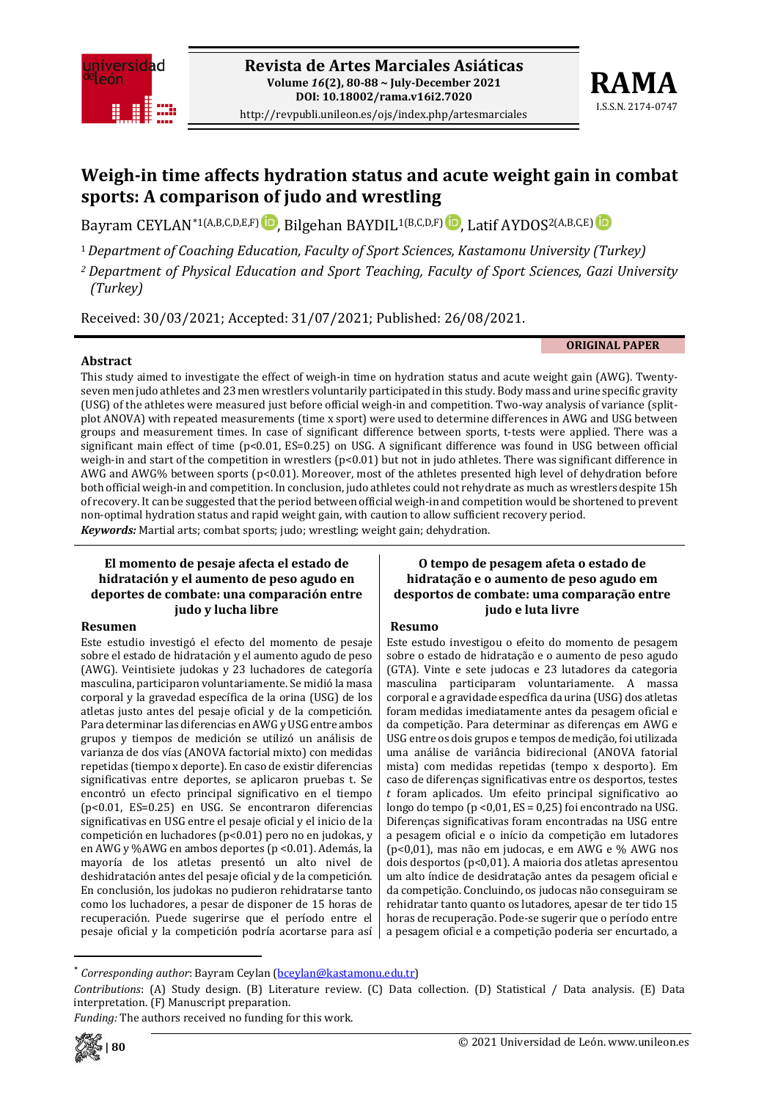

http://revpubli.unileon.es/ojs/index.php/artesmarciales



# **Weigh-in time affects hydration status and acute weight gain in combat sports: A comparison of judo and wrestling**

Bayram CEYLAN[\\*](#page-0-0)1(A,B,C,D,E,F)**D**[,](https://orcid.org/0000-0002-9161-2381) Bilgehan BAYDIL<sup>1(B,C,D,F) **D**, Latif AYDOS<sup>2(A,B,C,E) **D**</sup></sup>

<sup>1</sup>*Department of Coaching Education, Faculty of Sport Sciences, Kastamonu University (Turkey)*

*<sup>2</sup> Department of Physical Education and Sport Teaching, Faculty of Sport Sciences, Gazi University (Turkey)*

Received: 30/03/2021; Accepted: 31/07/2021; Published: 26/08/2021.

**ORIGINAL PAPER**

### **Abstract**

This study aimed to investigate the effect of weigh-in time on hydration status and acute weight gain (AWG). Twentyseven men judo athletes and 23 men wrestlers voluntarily participated in this study. Body mass and urine specific gravity (USG) of the athletes were measured just before official weigh-in and competition. Two-way analysis of variance (splitplot ANOVA) with repeated measurements (time x sport) were used to determine differences in AWG and USG between groups and measurement times. In case of significant difference between sports, t-tests were applied. There was a significant main effect of time (p<0.01, ES=0.25) on USG. A significant difference was found in USG between official weigh-in and start of the competition in wrestlers (p<0.01) but not in judo athletes. There was significant difference in AWG and AWG% between sports (p<0.01). Moreover, most of the athletes presented high level of dehydration before both official weigh-in and competition. In conclusion, judo athletes could not rehydrate as much as wrestlers despite 15h of recovery. It can be suggested that the period between official weigh-in and competition would be shortened to prevent non-optimal hydration status and rapid weight gain, with caution to allow sufficient recovery period. *Keywords:* Martial arts; combat sports; judo; wrestling; weight gain; dehydration.

#### **El momento de pesaje afecta el estado de hidratación y el aumento de peso agudo en deportes de combate: una comparación entre judo y lucha libre**

### **Resumen**

Este estudio investigó el efecto del momento de pesaje sobre el estado de hidratación y el aumento agudo de peso (AWG). Veintisiete judokas y 23 luchadores de categoría masculina, participaron voluntariamente. Se midió la masa corporal y la gravedad específica de la orina (USG) de los atletas justo antes del pesaje oficial y de la competición. Para determinar las diferencias en AWG y USG entre ambos grupos y tiempos de medición se utilizó un análisis de varianza de dos vías (ANOVA factorial mixto) con medidas repetidas (tiempo x deporte). En caso de existir diferencias significativas entre deportes, se aplicaron pruebas t. Se encontró un efecto principal significativo en el tiempo (p<0.01, ES=0.25) en USG. Se encontraron diferencias significativas en USG entre el pesaje oficial y el inicio de la competición en luchadores (p<0.01) pero no en judokas, y en AWG y %AWG en ambos deportes (p <0.01). Además, la mayoría de los atletas presentó un alto nivel de deshidratación antes del pesaje oficial y de la competición. En conclusión, los judokas no pudieron rehidratarse tanto como los luchadores, a pesar de disponer de 15 horas de recuperación. Puede sugerirse que el período entre el pesaje oficial y la competición podría acortarse para así

### **O tempo de pesagem afeta o estado de hidratação e o aumento de peso agudo em desportos de combate: uma comparação entre judo e luta livre**

### **Resumo**

Este estudo investigou o efeito do momento de pesagem sobre o estado de hidratação e o aumento de peso agudo (GTA). Vinte e sete judocas e 23 lutadores da categoria masculina participaram voluntariamente. A massa corporal e a gravidade específica da urina (USG) dos atletas foram medidas imediatamente antes da pesagem oficial e da competição. Para determinar as diferenças em AWG e USG entre os dois grupos e tempos de medição, foi utilizada uma análise de variância bidirecional (ANOVA fatorial mista) com medidas repetidas (tempo x desporto). Em caso de diferenças significativas entre os desportos, testes *t* foram aplicados. Um efeito principal significativo ao longo do tempo (p <0,01, ES = 0,25) foi encontrado na USG. Diferenças significativas foram encontradas na USG entre a pesagem oficial e o início da competição em lutadores (p<0,01), mas não em judocas, e em AWG e % AWG nos dois desportos (p<0,01). A maioria dos atletas apresentou um alto índice de desidratação antes da pesagem oficial e da competição. Concluindo, os judocas não conseguiram se rehidratar tanto quanto os lutadores, apesar de ter tido 15 horas de recuperação. Pode-se sugerir que o período entre a pesagem oficial e a competição poderia ser encurtado, a

*Funding:* The authors received no funding for this work.



*Corresponding author*: Bayram Ceylan [\(bceylan@kastamonu.edu.tr\)](mailto:bceylan@kastamonu.edu.tr)

<span id="page-0-0"></span>*Contributions*: (A) Study design. (B) Literature review. (C) Data collection. (D) Statistical / Data analysis. (E) Data interpretation. (F) Manuscript preparation.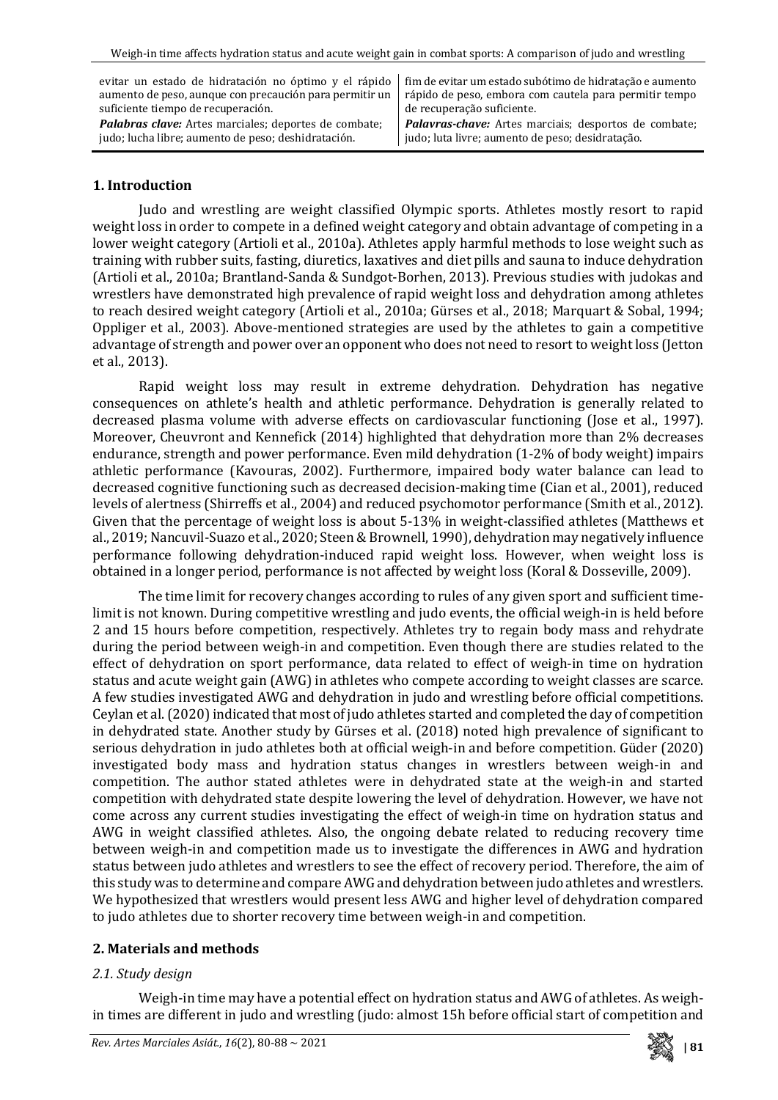evitar un estado de hidratación no óptimo y el rápido aumento de peso, aunque con precaución para permitir un suficiente tiempo de recuperación. *Palabras clave:* Artes marciales; deportes de combate;

judo; lucha libre; aumento de peso; deshidratación.

fim de evitar um estado subótimo de hidratação e aumento rápido de peso, embora com cautela para permitir tempo de recuperação suficiente.

*Palavras-chave:* Artes marciais; desportos de combate; judo; luta livre; aumento de peso; desidratação.

### **1. Introduction**

Judo and wrestling are weight classified Olympic sports. Athletes mostly resort to rapid weight loss in order to compete in a defined weight category and obtain advantage of competing in a lower weight category (Artioli et al., 2010a). Athletes apply harmful methods to lose weight such as training with rubber suits, fasting, diuretics, laxatives and diet pills and sauna to induce dehydration (Artioli et al., 2010a; Brantland-Sanda & Sundgot-Borhen, 2013). Previous studies with judokas and wrestlers have demonstrated high prevalence of rapid weight loss and dehydration among athletes to reach desired weight category (Artioli et al., 2010a; Gürses et al., 2018; Marquart & Sobal, 1994; Oppliger et al., 2003). Above-mentioned strategies are used by the athletes to gain a competitive advantage of strength and power over an opponent who does not need to resort to weight loss (Jetton et al., 2013).

Rapid weight loss may result in extreme dehydration. Dehydration has negative consequences on athlete's health and athletic performance. Dehydration is generally related to decreased plasma volume with adverse effects on cardiovascular functioning (Jose et al., 1997). Moreover, Cheuvront and Kennefick (2014) highlighted that dehydration more than 2% decreases endurance, strength and power performance. Even mild dehydration (1-2% of body weight) impairs athletic performance (Kavouras, 2002). Furthermore, impaired body water balance can lead to decreased cognitive functioning such as decreased decision-making time (Cian et al., 2001), reduced levels of alertness (Shirreffs et al., 2004) and reduced psychomotor performance (Smith et al., 2012). Given that the percentage of weight loss is about 5-13% in weight-classified athletes (Matthews et al., 2019; Nancuvil-Suazo et al., 2020; Steen & Brownell, 1990), dehydration may negatively influence performance following dehydration-induced rapid weight loss. However, when weight loss is obtained in a longer period, performance is not affected by weight loss (Koral & Dosseville, 2009).

The time limit for recovery changes according to rules of any given sport and sufficient timelimit is not known. During competitive wrestling and judo events, the official weigh-in is held before 2 and 15 hours before competition, respectively. Athletes try to regain body mass and rehydrate during the period between weigh-in and competition. Even though there are studies related to the effect of dehydration on sport performance, data related to effect of weigh-in time on hydration status and acute weight gain (AWG) in athletes who compete according to weight classes are scarce. A few studies investigated AWG and dehydration in judo and wrestling before official competitions. Ceylan et al. (2020) indicated that most of judo athletes started and completed the day of competition in dehydrated state. Another study by Gürses et al. (2018) noted high prevalence of significant to serious dehydration in judo athletes both at official weigh-in and before competition. Güder (2020) investigated body mass and hydration status changes in wrestlers between weigh-in and competition. The author stated athletes were in dehydrated state at the weigh-in and started competition with dehydrated state despite lowering the level of dehydration. However, we have not come across any current studies investigating the effect of weigh-in time on hydration status and AWG in weight classified athletes. Also, the ongoing debate related to reducing recovery time between weigh-in and competition made us to investigate the differences in AWG and hydration status between judo athletes and wrestlers to see the effect of recovery period. Therefore, the aim of this study was to determine and compare AWG and dehydration between judo athletes and wrestlers. We hypothesized that wrestlers would present less AWG and higher level of dehydration compared to judo athletes due to shorter recovery time between weigh-in and competition.

# **2. Materials and methods**

### *2.1. Study design*

Weigh-in time may have a potential effect on hydration status and AWG of athletes. As weighin times are different in judo and wrestling (judo: almost 15h before official start of competition and

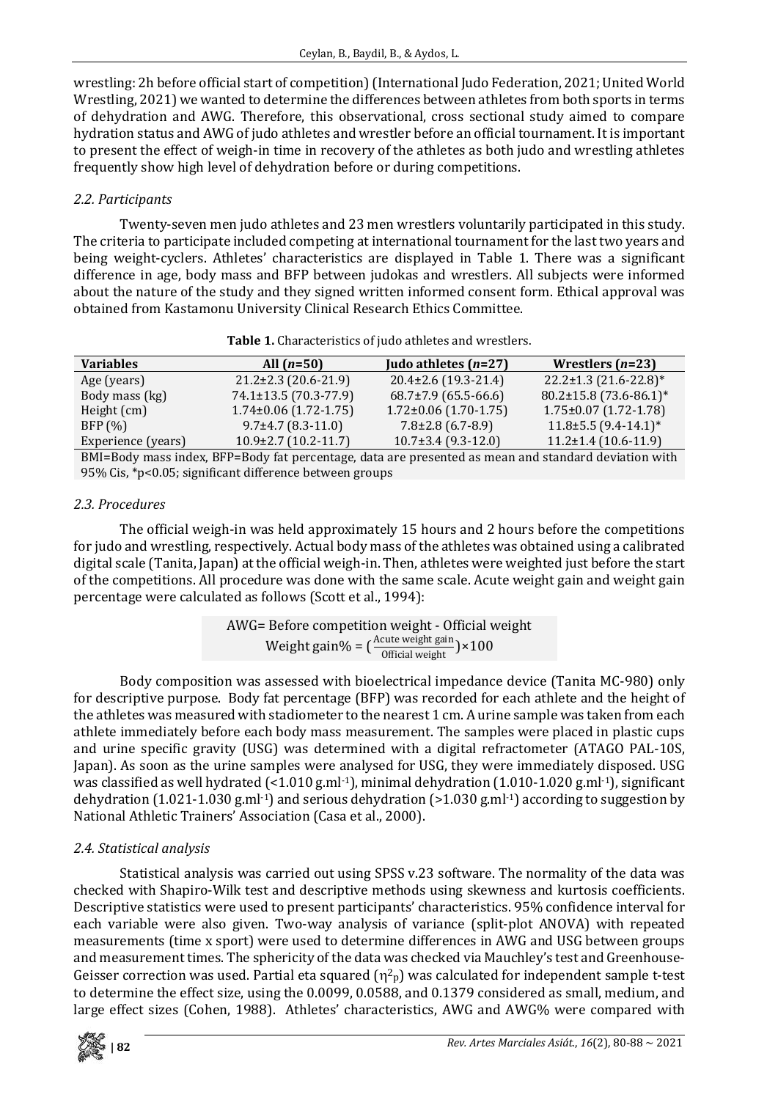wrestling: 2h before official start of competition) (International Judo Federation, 2021; United World Wrestling, 2021) we wanted to determine the differences between athletes from both sports in terms of dehydration and AWG. Therefore, this observational, cross sectional study aimed to compare hydration status and AWG of judo athletes and wrestler before an official tournament. It is important to present the effect of weigh-in time in recovery of the athletes as both judo and wrestling athletes frequently show high level of dehydration before or during competitions.

# *2.2. Participants*

Twenty-seven men judo athletes and 23 men wrestlers voluntarily participated in this study. The criteria to participate included competing at international tournament for the last two years and being weight-cyclers. Athletes' characteristics are displayed in Table 1. There was a significant difference in age, body mass and BFP between judokas and wrestlers. All subjects were informed about the nature of the study and they signed written informed consent form. Ethical approval was obtained from Kastamonu University Clinical Research Ethics Committee.

| <b>Variables</b>   | All $(n=50)$                                                                                                                                                                                                                      | Judo athletes $(n=27)$      | Wrestlers $(n=23)$          |
|--------------------|-----------------------------------------------------------------------------------------------------------------------------------------------------------------------------------------------------------------------------------|-----------------------------|-----------------------------|
| Age (years)        | $21.2 \pm 2.3$ (20.6-21.9)                                                                                                                                                                                                        | $20.4 \pm 2.6$ (19.3-21.4)  | $22.2 \pm 1.3$ (21.6-22.8)* |
| Body mass (kg)     | 74.1±13.5 (70.3-77.9)                                                                                                                                                                                                             | $68.7\pm7.9$ (65.5-66.6)    | 80.2±15.8 (73.6-86.1)*      |
| Height (cm)        | $1.74\pm0.06$ (1.72-1.75)                                                                                                                                                                                                         | $1.72 \pm 0.06$ (1.70-1.75) | $1.75 \pm 0.07$ (1.72-1.78) |
| BFP(%)             | $9.7\pm4.7$ (8.3-11.0)                                                                                                                                                                                                            | $7.8\pm2.8$ (6.7-8.9)       | $11.8\pm5.5$ (9.4-14.1)*    |
| Experience (years) | $10.9\pm2.7$ (10.2-11.7)                                                                                                                                                                                                          | $10.7\pm3.4$ (9.3-12.0)     | $11.2 \pm 1.4$ (10.6-11.9)  |
|                    | $\mathbf{u}$ . It is the mean of the set of the set of the set of the set of the set of the set of the set of the set of the set of the set of the set of the set of the set of the set of the set of the set of the set of the s |                             |                             |

| Table 1. Characteristics of judo athletes and wrestlers. |  |  |  |
|----------------------------------------------------------|--|--|--|
|----------------------------------------------------------|--|--|--|

BMI=Body mass index, BFP=Body fat percentage, data are presented as mean and standard deviation with 95% Cis, \*p<0.05; significant difference between groups

# *2.3. Procedures*

The official weigh-in was held approximately 15 hours and 2 hours before the competitions for judo and wrestling, respectively. Actual body mass of the athletes was obtained using a calibrated digital scale (Tanita, Japan) at the official weigh-in. Then, athletes were weighted just before the start of the competitions. All procedure was done with the same scale. Acute weight gain and weight gain percentage were calculated as follows (Scott et al., 1994):

> AWG= Before competition weight - Official weight Weight gain% =  $\left(\frac{\text{Acute weight gain}}{\text{Official weight}}\right) \times 100$

Body composition was assessed with bioelectrical impedance device (Tanita MC-980) only for descriptive purpose. Body fat percentage (BFP) was recorded for each athlete and the height of the athletes was measured with stadiometer to the nearest 1 cm. A urine sample was taken from each athlete immediately before each body mass measurement. The samples were placed in plastic cups and urine specific gravity (USG) was determined with a digital refractometer (ATAGO PAL-10S, Japan). As soon as the urine samples were analysed for USG, they were immediately disposed. USG was classified as well hydrated (<1.010 g.ml-1), minimal dehydration (1.010-1.020 g.ml-1), significant dehydration (1.021-1.030 g.ml<sup>-1</sup>) and serious dehydration ( $>1.030$  g.ml<sup>-1</sup>) according to suggestion by National Athletic Trainers' Association (Casa et al., 2000).

# *2.4. Statistical analysis*

Statistical analysis was carried out using SPSS v.23 software. The normality of the data was checked with Shapiro-Wilk test and descriptive methods using skewness and kurtosis coefficients. Descriptive statistics were used to present participants' characteristics. 95% confidence interval for each variable were also given. Two-way analysis of variance (split-plot ANOVA) with repeated measurements (time x sport) were used to determine differences in AWG and USG between groups and measurement times. The sphericity of the data was checked via Mauchley's test and Greenhouse-Geisser correction was used. Partial eta squared  $(\eta^2 p)$  was calculated for independent sample t-test to determine the effect size, using the 0.0099, 0.0588, and 0.1379 considered as small, medium, and large effect sizes (Cohen, 1988). Athletes' characteristics, AWG and AWG% were compared with

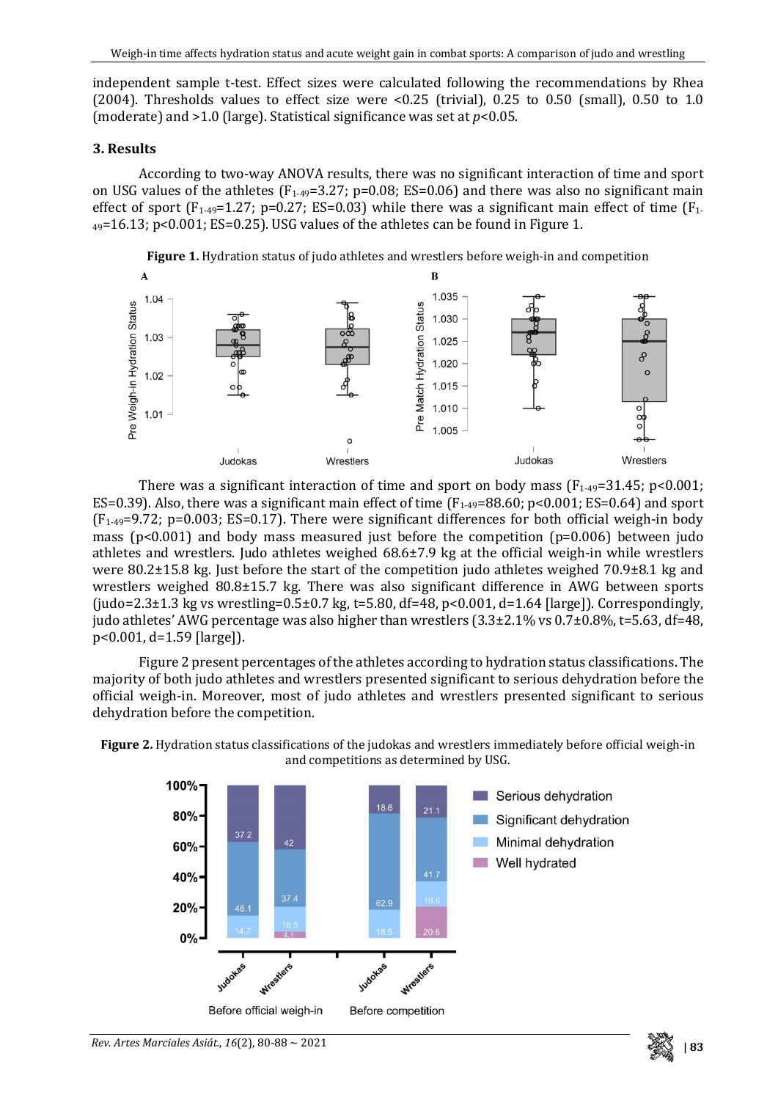independent sample t-test. Effect sizes were calculated following the recommendations by Rhea (2004). Thresholds values to effect size were  $\leq 0.25$  (trivial), 0.25 to 0.50 (small), 0.50 to 1.0 (moderate) and >1.0 (large). Statistical significance was set at *p*<0.05.

### **3. Results**

According to two-way ANOVA results, there was no significant interaction of time and sport on USG values of the athletes  $(F_{1-49}=3.27; p=0.08; ES=0.06)$  and there was also no significant main effect of sport ( $F_{1-49}=1.27$ ; p=0.27; ES=0.03) while there was a significant main effect of time ( $F_{1-49}=1.27$ ; p=0.27; ES=0.03) while there was a significant main effect of time ( $F_{1-49}=1.27$ )  $_{49}$ =16.13; p<0.001; ES=0.25). USG values of the athletes can be found in Figure 1.





There was a significant interaction of time and sport on body mass  $(F_{1-49}=31.45; p<0.001;$ ES=0.39). Also, there was a significant main effect of time  $(F_{1-49}=88.60; p<0.001; ES=0.64)$  and sport  $(F<sub>1-49</sub>=9.72; p=0.003; ES=0.17)$ . There were significant differences for both official weigh-in body mass (p<0.001) and body mass measured just before the competition (p=0.006) between judo athletes and wrestlers. Judo athletes weighed 68.6±7.9 kg at the official weigh-in while wrestlers were 80.2±15.8 kg. Just before the start of the competition judo athletes weighed 70.9±8.1 kg and wrestlers weighed 80.8±15.7 kg. There was also significant difference in AWG between sports (judo=2.3±1.3 kg vs wrestling=0.5±0.7 kg, t=5.80, df=48, p<0.001, d=1.64 [large]). Correspondingly, judo athletes' AWG percentage was also higher than wrestlers  $(3.3\pm 2.1\% \text{ vs } 0.7\pm 0.8\%$ , t=5.63, df=48, p<0.001, d=1.59 [large]).

Figure 2 present percentages of the athletes according to hydration status classifications. The majority of both judo athletes and wrestlers presented significant to serious dehydration before the official weigh-in. Moreover, most of judo athletes and wrestlers presented significant to serious dehydration before the competition.

**Figure 2.** Hydration status classifications of the judokas and wrestlers immediately before official weigh-in and competitions as determined by USG.



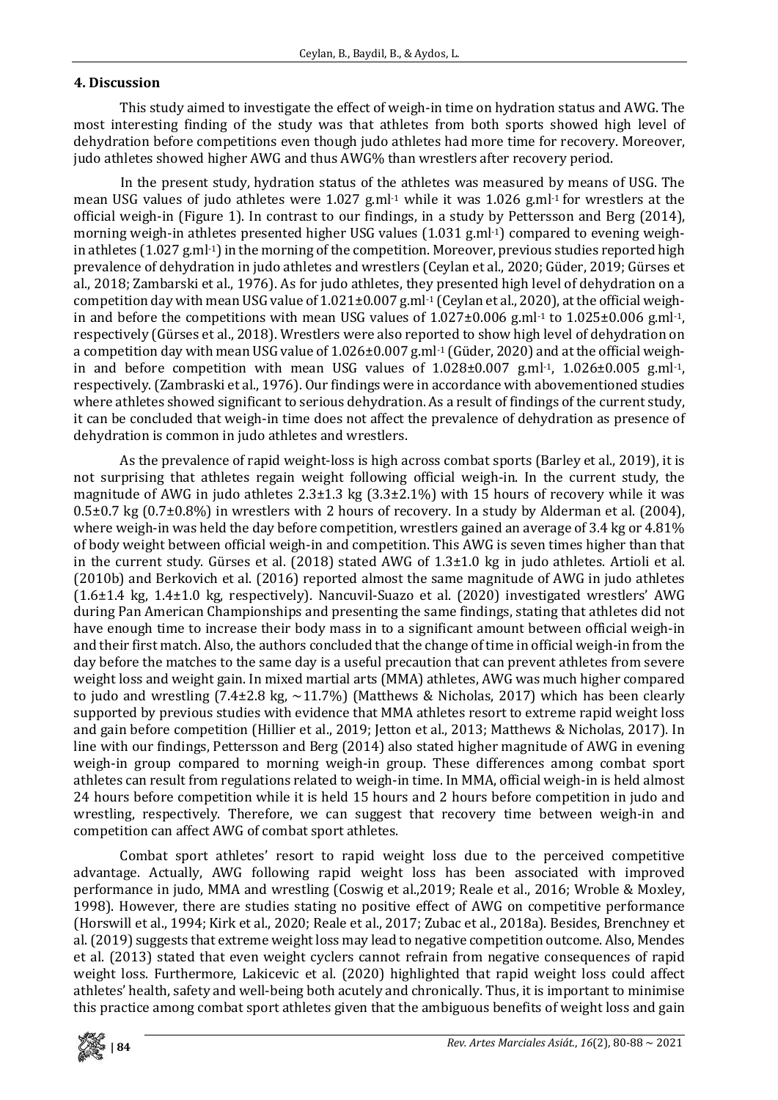# **4. Discussion**

This study aimed to investigate the effect of weigh-in time on hydration status and AWG. The most interesting finding of the study was that athletes from both sports showed high level of dehydration before competitions even though judo athletes had more time for recovery. Moreover, judo athletes showed higher AWG and thus AWG% than wrestlers after recovery period.

In the present study, hydration status of the athletes was measured by means of USG. The mean USG values of judo athletes were 1.027 g.ml<sup>-1</sup> while it was 1.026 g.ml<sup>-1</sup> for wrestlers at the official weigh-in (Figure 1). In contrast to our findings, in a study by Pettersson and Berg (2014), morning weigh-in athletes presented higher USG values (1.031 g.ml<sup>-1</sup>) compared to evening weighin athletes (1.027 g.ml-1) in the morning of the competition. Moreover, previous studies reported high prevalence of dehydration in judo athletes and wrestlers (Ceylan et al., 2020; Güder, 2019; Gürses et al., 2018; Zambarski et al., 1976). As for judo athletes, they presented high level of dehydration on a competition day with mean USG value of 1.021±0.007 g.ml-1 (Ceylan et al., 2020), at the official weighin and before the competitions with mean USG values of  $1.027\pm0.006$  g.ml<sup>-1</sup> to  $1.025\pm0.006$  g.ml<sup>-1</sup>, respectively (Gürses et al., 2018). Wrestlers were also reported to show high level of dehydration on a competition day with mean USG value of 1.026±0.007 g.ml<sup>-1</sup> (Güder, 2020) and at the official weighin and before competition with mean USG values of  $1.028\pm0.007$  g.ml<sup>-1</sup>,  $1.026\pm0.005$  g.ml<sup>-1</sup>, respectively. (Zambraski et al., 1976). Our findings were in accordance with abovementioned studies where athletes showed significant to serious dehydration. As a result of findings of the current study, it can be concluded that weigh-in time does not affect the prevalence of dehydration as presence of dehydration is common in judo athletes and wrestlers.

As the prevalence of rapid weight-loss is high across combat sports (Barley et al., 2019), it is not surprising that athletes regain weight following official weigh-in. In the current study, the magnitude of AWG in judo athletes  $2.3\pm1.3$  kg  $(3.3\pm2.1\%)$  with 15 hours of recovery while it was 0.5±0.7 kg (0.7±0.8%) in wrestlers with 2 hours of recovery. In a study by Alderman et al. (2004), where weigh-in was held the day before competition, wrestlers gained an average of 3.4 kg or 4.81% of body weight between official weigh-in and competition. This AWG is seven times higher than that in the current study. Gürses et al. (2018) stated AWG of 1.3±1.0 kg in judo athletes. Artioli et al. (2010b) and Berkovich et al. (2016) reported almost the same magnitude of AWG in judo athletes (1.6±1.4 kg, 1.4±1.0 kg, respectively). Nancuvil-Suazo et al. (2020) investigated wrestlers' AWG during Pan American Championships and presenting the same findings, stating that athletes did not have enough time to increase their body mass in to a significant amount between official weigh-in and their first match. Also, the authors concluded that the change of time in official weigh-in from the day before the matches to the same day is a useful precaution that can prevent athletes from severe weight loss and weight gain. In mixed martial arts (MMA) athletes, AWG was much higher compared to judo and wrestling  $(7.4\pm 2.8 \text{ kg}, -11.7\%)$  (Matthews & Nicholas, 2017) which has been clearly supported by previous studies with evidence that MMA athletes resort to extreme rapid weight loss and gain before competition (Hillier et al., 2019; Jetton et al., 2013; Matthews & Nicholas, 2017). In line with our findings, Pettersson and Berg (2014) also stated higher magnitude of AWG in evening weigh-in group compared to morning weigh-in group. These differences among combat sport athletes can result from regulations related to weigh-in time. In MMA, official weigh-in is held almost 24 hours before competition while it is held 15 hours and 2 hours before competition in judo and wrestling, respectively. Therefore, we can suggest that recovery time between weigh-in and competition can affect AWG of combat sport athletes.

Combat sport athletes' resort to rapid weight loss due to the perceived competitive advantage. Actually, AWG following rapid weight loss has been associated with improved performance in judo, MMA and wrestling (Coswig et al.,2019; Reale et al., 2016; Wroble & Moxley, 1998). However, there are studies stating no positive effect of AWG on competitive performance (Horswill et al., 1994; Kirk et al., 2020; Reale et al., 2017; Zubac et al., 2018a). Besides, Brenchney et al. (2019) suggests that extreme weight loss may lead to negative competition outcome. Also, Mendes et al. (2013) stated that even weight cyclers cannot refrain from negative consequences of rapid weight loss. Furthermore, Lakicevic et al. (2020) highlighted that rapid weight loss could affect athletes' health, safety and well-being both acutely and chronically. Thus, it is important to minimise this practice among combat sport athletes given that the ambiguous benefits of weight loss and gain

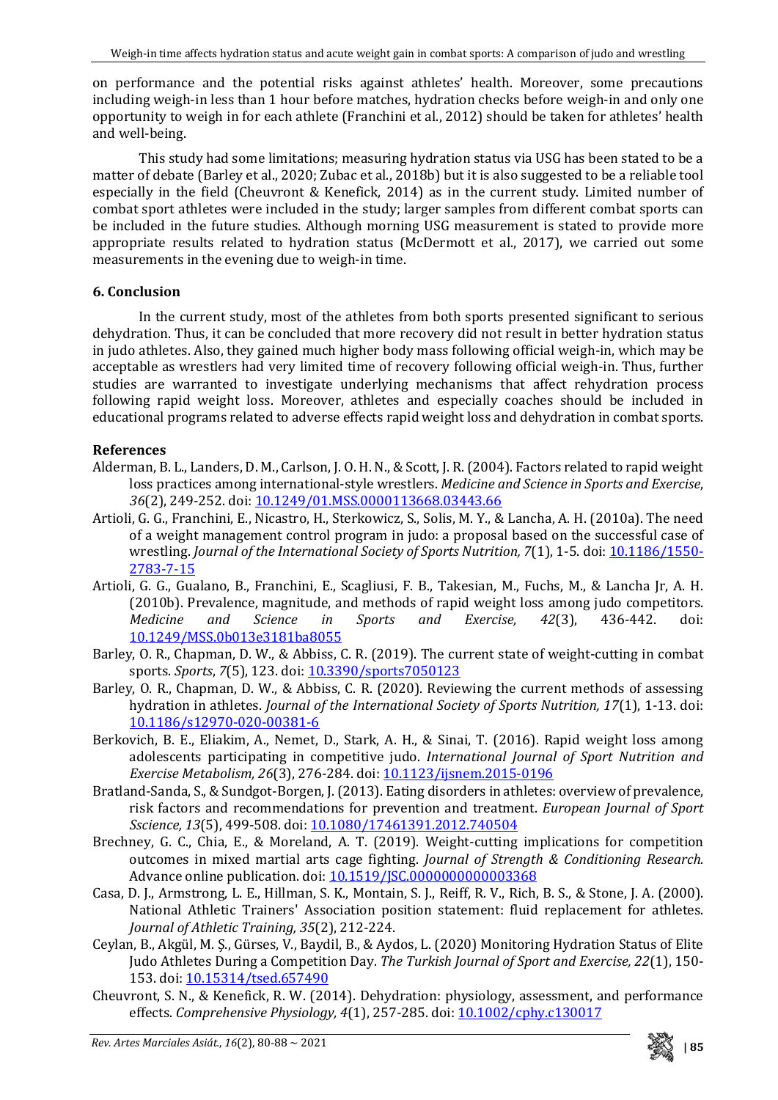on performance and the potential risks against athletes' health. Moreover, some precautions including weigh-in less than 1 hour before matches, hydration checks before weigh-in and only one opportunity to weigh in for each athlete (Franchini et al., 2012) should be taken for athletes' health and well-being.

This study had some limitations; measuring hydration status via USG has been stated to be a matter of debate (Barley et al., 2020; Zubac et al., 2018b) but it is also suggested to be a reliable tool especially in the field (Cheuvront & Kenefick, 2014) as in the current study. Limited number of combat sport athletes were included in the study; larger samples from different combat sports can be included in the future studies. Although morning USG measurement is stated to provide more appropriate results related to hydration status (McDermott et al., 2017), we carried out some measurements in the evening due to weigh-in time.

# **6. Conclusion**

In the current study, most of the athletes from both sports presented significant to serious dehydration. Thus, it can be concluded that more recovery did not result in better hydration status in judo athletes. Also, they gained much higher body mass following official weigh-in, which may be acceptable as wrestlers had very limited time of recovery following official weigh-in. Thus, further studies are warranted to investigate underlying mechanisms that affect rehydration process following rapid weight loss. Moreover, athletes and especially coaches should be included in educational programs related to adverse effects rapid weight loss and dehydration in combat sports.

# **References**

- Alderman, B. L., Landers, D. M., Carlson, J. O. H. N., & Scott, J. R. (2004). Factors related to rapid weight loss practices among international-style wrestlers. *Medicine and Science in Sports and Exercise*, *36*(2), 249-252. doi: [10.1249/01.MSS.0000113668.03443.66](https://doi.org/10.1249/01.MSS.0000113668.03443.66)
- Artioli, G. G., Franchini, E., Nicastro, H., Sterkowicz, S., Solis, M. Y., & Lancha, A. H. (2010a). The need of a weight management control program in judo: a proposal based on the successful case of wrestling. *Journal of the International Society of Sports Nutrition, 7(1)*, 1-5. doi: **10.1186/1550-**[2783-7-15](https://doi.org/10.1186/1550-2783-7-15)
- Artioli, G. G., Gualano, B., Franchini, E., Scagliusi, F. B., Takesian, M., Fuchs, M., & Lancha Jr, A. H. (2010b). Prevalence, magnitude, and methods of rapid weight loss among judo competitors.<br> *Medicine* and *Science* in *Sports* and *Exercise*, 42(3), 436-442. doi: *Medicine and Science in Sports and Exercise, 42*(3), 436-442. doi: [10.1249/MSS.0b013e3181ba8055](https://doi.org/10.1249/MSS.0b013e3181ba8055)
- Barley, O. R., Chapman, D. W., & Abbiss, C. R. (2019). The current state of weight-cutting in combat sports. *Sports*, *7*(5), 123. doi[: 10.3390/sports7050123](https://doi.org/10.3390/sports7050123)
- Barley, O. R., Chapman, D. W., & Abbiss, C. R. (2020). Reviewing the current methods of assessing hydration in athletes. *Journal of the International Society of Sports Nutrition, 17*(1), 1-13. doi: [10.1186/s12970-020-00381-6](https://doi.org/10.1186/s12970-020-00381-6)
- Berkovich, B. E., Eliakim, A., Nemet, D., Stark, A. H., & Sinai, T. (2016). Rapid weight loss among adolescents participating in competitive judo. *International Journal of Sport Nutrition and Exercise Metabolism, 26*(3), 276-284. doi[: 10.1123/ijsnem.2015-0196](https://doi.org/10.1123/ijsnem.2015-0196)
- Bratland-Sanda, S., & Sundgot-Borgen, J. (2013). Eating disorders in athletes: overview of prevalence, risk factors and recommendations for prevention and treatment. *European Journal of Sport Sscience, 13*(5), 499-508. doi: [10.1080/17461391.2012.740504](https://doi.org/10.1080/17461391.2012.740504)
- Brechney, G. C., Chia, E., & Moreland, A. T. (2019). Weight-cutting implications for competition outcomes in mixed martial arts cage fighting. *Journal of Strength & Conditioning Research.* Advance online publication. doi: [10.1519/JSC.0000000000003368](https://doi.org/10.1519/JSC.0000000000003368)
- Casa, D. J., Armstrong, L. E., Hillman, S. K., Montain, S. J., Reiff, R. V., Rich, B. S., & Stone, J. A. (2000). National Athletic Trainers' Association position statement: fluid replacement for athletes. *Journal of Athletic Training, 35*(2), 212-224.
- Ceylan, B., Akgül, M. Ş., Gürses, V., Baydil, B., & Aydos, L. (2020) Monitoring Hydration Status of Elite Judo Athletes During a Competition Day. *The Turkish Journal of Sport and Exercise, 22*(1), 150- 153. doi[: 10.15314/tsed.657490](https://doi.org/10.15314/tsed.657490)
- Cheuvront, S. N., & Kenefick, R. W. (2014). Dehydration: physiology, assessment, and performance effects. *Comprehensive Physiology, 4*(1), 257-285. doi[: 10.1002/cphy.c130017](https://doi.org/10.1002/cphy.c130017)

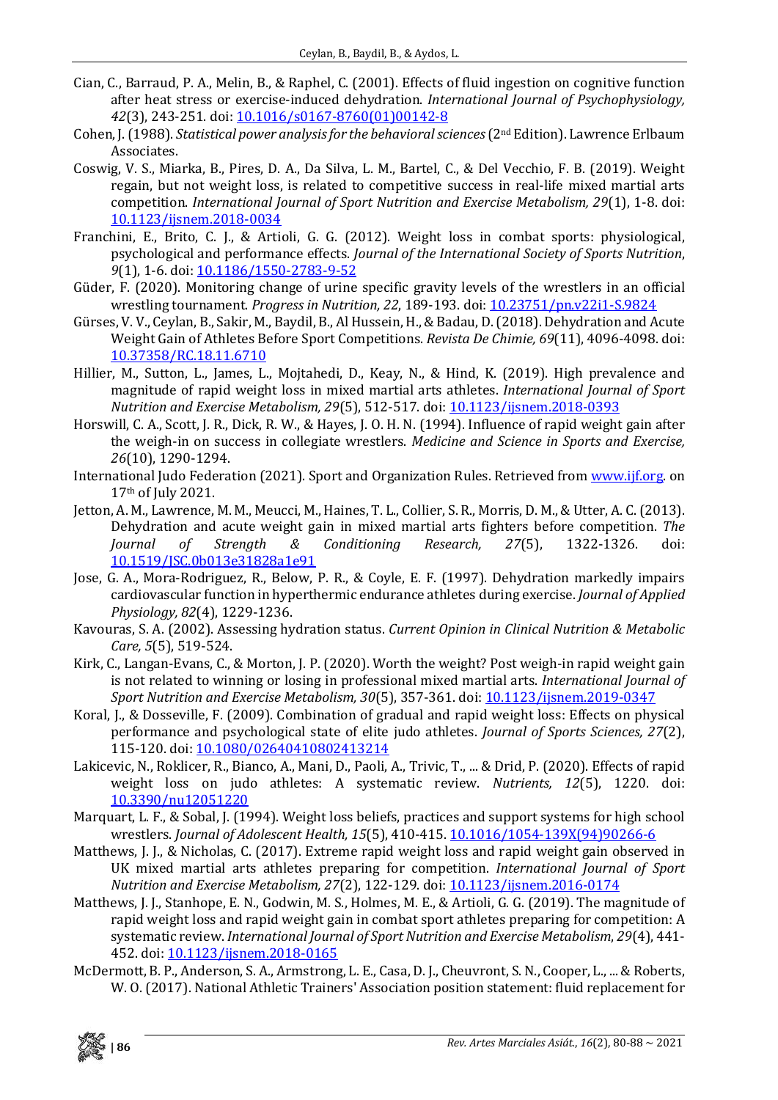- Cian, C., Barraud, P. A., Melin, B., & Raphel, C. (2001). Effects of fluid ingestion on cognitive function after heat stress or exercise-induced dehydration. *International Journal of Psychophysiology, 42*(3), 243-251. doi: [10.1016/s0167-8760\(01\)00142-8](https://doi.org/10.1016/s0167-8760(01)00142-8)
- Cohen, J. (1988). *Statistical power analysis for the behavioral sciences*(2nd Edition). Lawrence Erlbaum Associates.
- Coswig, V. S., Miarka, B., Pires, D. A., Da Silva, L. M., Bartel, C., & Del Vecchio, F. B. (2019). Weight regain, but not weight loss, is related to competitive success in real-life mixed martial arts competition. *International Journal of Sport Nutrition and Exercise Metabolism, 29*(1), 1-8. doi: [10.1123/ijsnem.2018-0034](https://doi.org/10.1123/ijsnem.2018-0034)
- Franchini, E., Brito, C. J., & Artioli, G. G. (2012). Weight loss in combat sports: physiological, psychological and performance effects. *Journal of the International Society of Sports Nutrition*, *9*(1), 1-6. doi: [10.1186/1550-2783-9-52](https://doi.org/10.1186/1550-2783-9-52)
- Güder, F. (2020). Monitoring change of urine specific gravity levels of the wrestlers in an official wrestling tournament. *Progress in Nutrition, 22*, 189-193. doi: [10.23751/pn.v22i1-S.9824](https://doi.org/10.23751/pn.v22i1-S.9824)
- Gürses, V. V., Ceylan, B., Sakir, M., Baydil, B., Al Hussein, H., & Badau, D. (2018). Dehydration and Acute Weight Gain of Athletes Before Sport Competitions. *Revista De Chimie, 69*(11), 4096-4098. doi: [10.37358/RC.18.11.6710](https://doi.org/10.37358/RC.18.11.6710)
- Hillier, M., Sutton, L., James, L., Mojtahedi, D., Keay, N., & Hind, K. (2019). High prevalence and magnitude of rapid weight loss in mixed martial arts athletes. *International Journal of Sport Nutrition and Exercise Metabolism, 29*(5), 512-517. doi: [10.1123/ijsnem.2018-0393](https://doi.org/10.1123/ijsnem.2018-0393)
- Horswill, C. A., Scott, J. R., Dick, R. W., & Hayes, J. O. H. N. (1994). Influence of rapid weight gain after the weigh-in on success in collegiate wrestlers. *Medicine and Science in Sports and Exercise, 26*(10), 1290-1294.
- International Judo Federation (2021). Sport and Organization Rules. Retrieved fro[m www.ijf.org.](http://www.ijf.org/) on 17th of July 2021.
- Jetton, A. M., Lawrence, M. M., Meucci, M., Haines, T. L., Collier, S. R., Morris, D. M., & Utter, A. C. (2013). Dehydration and acute weight gain in mixed martial arts fighters before competition. *The Conditioning* [10.1519/JSC.0b013e31828a1e91](https://doi.org/10.1519/JSC.0b013e31828a1e91)
- Jose, G. A., Mora-Rodriguez, R., Below, P. R., & Coyle, E. F. (1997). Dehydration markedly impairs cardiovascular function in hyperthermic endurance athletes during exercise. *Journal of Applied Physiology, 82*(4), 1229-1236.
- Kavouras, S. A. (2002). Assessing hydration status. *Current Opinion in Clinical Nutrition & Metabolic Care, 5*(5), 519-524.
- Kirk, C., Langan-Evans, C., & Morton, J. P. (2020). Worth the weight? Post weigh-in rapid weight gain is not related to winning or losing in professional mixed martial arts. *International Journal of Sport Nutrition and Exercise Metabolism, 30*(5), 357-361. doi[: 10.1123/ijsnem.2019-0347](https://doi.org/10.1123/ijsnem.2019-0347)
- Koral, J., & Dosseville, F. (2009). Combination of gradual and rapid weight loss: Effects on physical performance and psychological state of elite judo athletes. *Journal of Sports Sciences, 27*(2), 115-120. doi: [10.1080/02640410802413214](https://doi.org/10.1080/02640410802413214)
- Lakicevic, N., Roklicer, R., Bianco, A., Mani, D., Paoli, A., Trivic, T., ... & Drid, P. (2020). Effects of rapid weight loss on judo athletes: A systematic review. *Nutrients, 12*(5), 1220. doi: [10.3390/nu12051220](https://doi.org/10.3390/nu12051220)
- Marquart, L. F., & Sobal, J. (1994). Weight loss beliefs, practices and support systems for high school wrestlers. *Journal of Adolescent Health, 15*(5), 410-415[. 10.1016/1054-139X\(94\)90266-6](https://doi.org/10.1016/1054-139X(94)90266-6)
- Matthews, J. J., & Nicholas, C. (2017). Extreme rapid weight loss and rapid weight gain observed in UK mixed martial arts athletes preparing for competition. *International Journal of Sport Nutrition and Exercise Metabolism, 27*(2), 122-129. doi: [10.1123/ijsnem.2016-0174](https://doi.org/10.1123/ijsnem.2016-0174)
- Matthews, J. J., Stanhope, E. N., Godwin, M. S., Holmes, M. E., & Artioli, G. G. (2019). The magnitude of rapid weight loss and rapid weight gain in combat sport athletes preparing for competition: A systematic review. *International Journal of Sport Nutrition and Exercise Metabolism*, *29*(4), 441- 452. doi: [10.1123/ijsnem.2018-0165](https://doi.org/10.1123/ijsnem.2018-0165)
- McDermott, B. P., Anderson, S. A., Armstrong, L. E., Casa, D. J., Cheuvront, S. N., Cooper, L., ... & Roberts, W. O. (2017). National Athletic Trainers' Association position statement: fluid replacement for

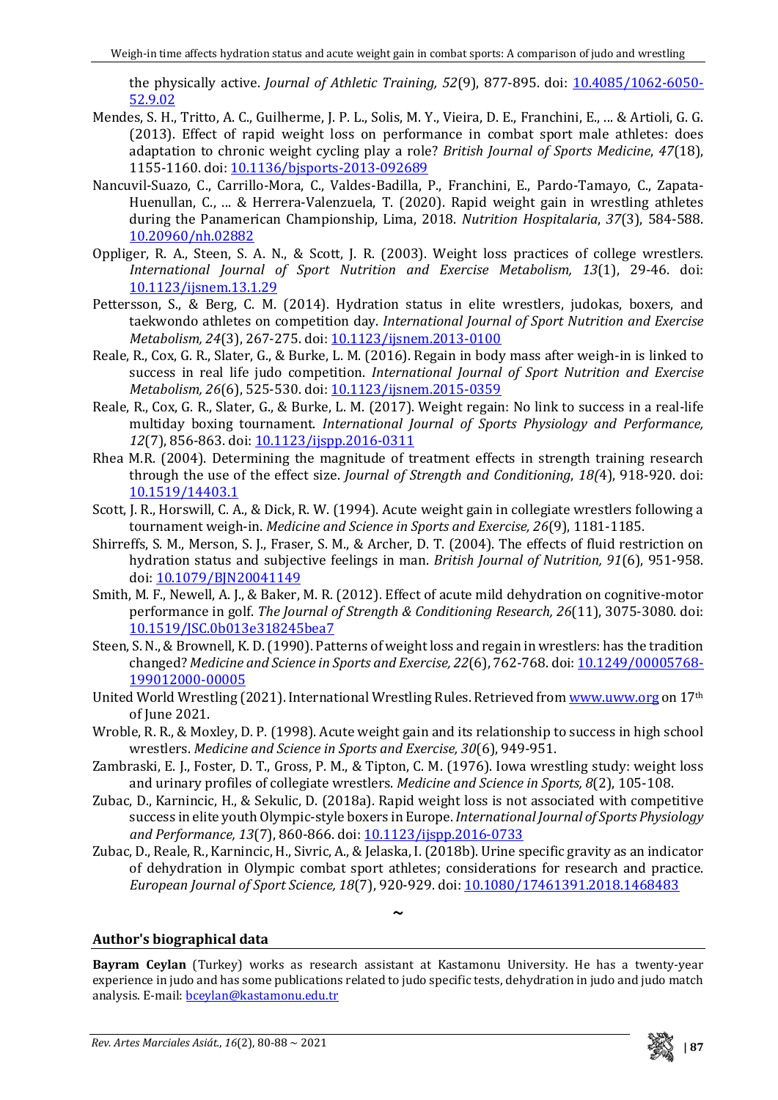the physically active. *Journal of Athletic Training, 52*(9), 877-895. doi: [10.4085/1062-6050-](https://doi.org/10.4085/1062-6050-52.9.02) [52.9.02](https://doi.org/10.4085/1062-6050-52.9.02)

- Mendes, S. H., Tritto, A. C., Guilherme, J. P. L., Solis, M. Y., Vieira, D. E., Franchini, E., ... & Artioli, G. G. (2013). Effect of rapid weight loss on performance in combat sport male athletes: does adaptation to chronic weight cycling play a role? *British Journal of Sports Medicine*, *47*(18), 1155-1160. doi: [10.1136/bjsports-2013-092689](http://dx.doi.org/10.1136/bjsports-2013-092689)
- Nancuvil-Suazo, C., Carrillo-Mora, C., Valdes-Badilla, P., Franchini, E., Pardo-Tamayo, C., Zapata-Huenullan, C., ... & Herrera-Valenzuela, T. (2020). Rapid weight gain in wrestling athletes during the Panamerican Championship, Lima, 2018. *Nutrition Hospitalaria*, *37*(3), 584-588. [10.20960/nh.02882](https://dx.doi.org/10.20960/nh.02882)
- Oppliger, R. A., Steen, S. A. N., & Scott, J. R. (2003). Weight loss practices of college wrestlers*. International Journal of Sport Nutrition and Exercise Metabolism, 13*(1), 29-46. doi: [10.1123/ijsnem.13.1.29](https://doi.org/10.1123/ijsnem.13.1.29)
- Pettersson, S., & Berg, C. M. (2014). Hydration status in elite wrestlers, judokas, boxers, and taekwondo athletes on competition day. *International Journal of Sport Nutrition and Exercise Metabolism, 24*(3), 267-275. doi[: 10.1123/ijsnem.2013-0100](https://doi.org/10.1123/ijsnem.2013-0100)
- Reale, R., Cox, G. R., Slater, G., & Burke, L. M. (2016). Regain in body mass after weigh-in is linked to success in real life judo competition. *International Journal of Sport Nutrition and Exercise Metabolism, 26*(6), 525-530. doi[: 10.1123/ijsnem.2015-0359](https://doi.org/10.1123/ijsnem.2015-0359)
- Reale, R., Cox, G. R., Slater, G., & Burke, L. M. (2017). Weight regain: No link to success in a real-life multiday boxing tournament. *International Journal of Sports Physiology and Performance,*  12(7), 856-863. doi: [10.1123/ijspp.2016-0311](https://doi.org/10.1123/ijspp.2016-0311)
- Rhea M.R. (2004). Determining the magnitude of treatment effects in strength training research through the use of the effect size. *Journal of Strength and Conditioning*, *18(*4), 918-920. doi: [10.1519/14403.1](https://doi.org/10.1519/14403.1)
- Scott, J. R., Horswill, C. A., & Dick, R. W. (1994). Acute weight gain in collegiate wrestlers following a tournament weigh-in. *Medicine and Science in Sports and Exercise, 26*(9), 1181-1185.
- Shirreffs, S. M., Merson, S. J., Fraser, S. M., & Archer, D. T. (2004). The effects of fluid restriction on hydration status and subjective feelings in man. *British Journal of Nutrition, 91*(6), 951-958. doi[: 10.1079/BJN20041149](https://doi.org/10.1079/BJN20041149)
- Smith, M. F., Newell, A. J., & Baker, M. R. (2012). Effect of acute mild dehydration on cognitive-motor performance in golf. *The Journal of Strength & Conditioning Research, 26*(11), 3075-3080. doi: [10.1519/JSC.0b013e318245bea7](https://doi.org/10.1519/JSC.0b013e318245bea7)
- Steen, S. N., & Brownell, K. D. (1990). Patterns of weight loss and regain in wrestlers: has the tradition changed? *Medicine and Science in Sports and Exercise, 22*(6), 762-768. doi[: 10.1249/00005768-](https://doi.org/10.1249/00005768-199012000-00005) [199012000-00005](https://doi.org/10.1249/00005768-199012000-00005)
- United World Wrestling (2021). International Wrestling Rules. Retrieved fro[m www.uww.org](http://www.uww.org/) on 17<sup>th</sup> of June 2021.
- Wroble, R. R., & Moxley, D. P. (1998). Acute weight gain and its relationship to success in high school wrestlers. *Medicine and Science in Sports and Exercise, 30*(6), 949-951.
- Zambraski, E. J., Foster, D. T., Gross, P. M., & Tipton, C. M. (1976). Iowa wrestling study: weight loss and urinary profiles of collegiate wrestlers. *Medicine and Science in Sports, 8*(2), 105-108.
- Zubac, D., Karnincic, H., & Sekulic, D. (2018a). Rapid weight loss is not associated with competitive success in elite youth Olympic-style boxers in Europe. *International Journal of Sports Physiology and Performance, 13*(7), 860-866. doi: [10.1123/ijspp.2016-0733](https://doi.org/10.1123/ijspp.2016-0733)
- Zubac, D., Reale, R., Karnincic, H., Sivric, A., & Jelaska, I. (2018b). Urine specific gravity as an indicator of dehydration in Olympic combat sport athletes; considerations for research and practice. *European Journal of Sport Science, 18*(7), 920-929. doi[: 10.1080/17461391.2018.1468483](https://doi.org/10.1080/17461391.2018.1468483)

**~**

### **Author's biographical data**

**Bayram Ceylan** (Turkey) works as research assistant at Kastamonu University. He has a twenty-year experience in judo and has some publications related to judo specific tests, dehydration in judo and judo match analysis. E-mail: [bceylan@kastamonu.edu.tr](mailto:bceylan@kastamonu.edu.tr)